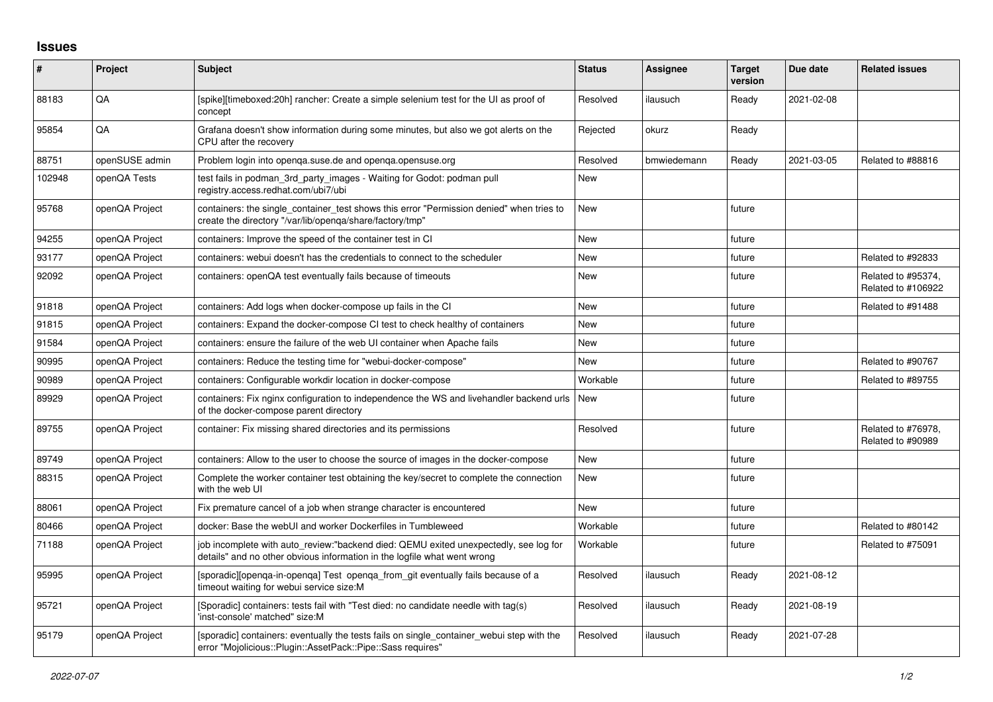## **Issues**

| #      | Project        | <b>Subject</b>                                                                                                                                                   | <b>Status</b> | Assignee    | <b>Target</b><br>version | Due date   | <b>Related issues</b>                    |
|--------|----------------|------------------------------------------------------------------------------------------------------------------------------------------------------------------|---------------|-------------|--------------------------|------------|------------------------------------------|
| 88183  | QA             | [spike][timeboxed:20h] rancher: Create a simple selenium test for the UI as proof of<br>concept                                                                  | Resolved      | ilausuch    | Ready                    | 2021-02-08 |                                          |
| 95854  | QA             | Grafana doesn't show information during some minutes, but also we got alerts on the<br>CPU after the recovery                                                    | Rejected      | okurz       | Ready                    |            |                                          |
| 88751  | openSUSE admin | Problem login into openga.suse.de and openga.opensuse.org                                                                                                        | Resolved      | bmwiedemann | Ready                    | 2021-03-05 | Related to #88816                        |
| 102948 | openQA Tests   | test fails in podman_3rd_party_images - Waiting for Godot: podman pull<br>registry.access.redhat.com/ubi7/ubi                                                    | <b>New</b>    |             |                          |            |                                          |
| 95768  | openQA Project | containers: the single_container_test shows this error "Permission denied" when tries to<br>create the directory "/var/lib/openqa/share/factory/tmp"             | <b>New</b>    |             | future                   |            |                                          |
| 94255  | openQA Project | containers: Improve the speed of the container test in CI                                                                                                        | <b>New</b>    |             | future                   |            |                                          |
| 93177  | openQA Project | containers: webui doesn't has the credentials to connect to the scheduler                                                                                        | <b>New</b>    |             | future                   |            | Related to #92833                        |
| 92092  | openQA Project | containers: openQA test eventually fails because of timeouts                                                                                                     | <b>New</b>    |             | future                   |            | Related to #95374.<br>Related to #106922 |
| 91818  | openQA Project | containers: Add logs when docker-compose up fails in the CI                                                                                                      | <b>New</b>    |             | future                   |            | Related to #91488                        |
| 91815  | openQA Project | containers: Expand the docker-compose CI test to check healthy of containers                                                                                     | <b>New</b>    |             | future                   |            |                                          |
| 91584  | openQA Project | containers: ensure the failure of the web UI container when Apache fails                                                                                         | New           |             | future                   |            |                                          |
| 90995  | openQA Project | containers: Reduce the testing time for "webui-docker-compose"                                                                                                   | <b>New</b>    |             | future                   |            | Related to #90767                        |
| 90989  | openQA Project | containers: Configurable workdir location in docker-compose                                                                                                      | Workable      |             | future                   |            | Related to #89755                        |
| 89929  | openQA Project | containers: Fix nginx configuration to independence the WS and livehandler backend urls<br>of the docker-compose parent directory                                | <b>New</b>    |             | future                   |            |                                          |
| 89755  | openQA Project | container: Fix missing shared directories and its permissions                                                                                                    | Resolved      |             | future                   |            | Related to #76978,<br>Related to #90989  |
| 89749  | openQA Project | containers: Allow to the user to choose the source of images in the docker-compose                                                                               | <b>New</b>    |             | future                   |            |                                          |
| 88315  | openQA Project | Complete the worker container test obtaining the key/secret to complete the connection<br>with the web UI                                                        | <b>New</b>    |             | future                   |            |                                          |
| 88061  | openQA Project | Fix premature cancel of a job when strange character is encountered                                                                                              | <b>New</b>    |             | future                   |            |                                          |
| 80466  | openQA Project | docker: Base the webUI and worker Dockerfiles in Tumbleweed                                                                                                      | Workable      |             | future                   |            | Related to #80142                        |
| 71188  | openQA Project | job incomplete with auto review:"backend died: QEMU exited unexpectedly, see log for<br>details" and no other obvious information in the logfile what went wrong | Workable      |             | future                   |            | Related to #75091                        |
| 95995  | openQA Project | [sporadic][openqa-in-openqa] Test openqa_from_git eventually fails because of a<br>timeout waiting for webui service size:M                                      | Resolved      | ilausuch    | Ready                    | 2021-08-12 |                                          |
| 95721  | openQA Project | [Sporadic] containers: tests fail with "Test died: no candidate needle with tag(s)<br>'inst-console' matched" size:M                                             | Resolved      | ilausuch    | Ready                    | 2021-08-19 |                                          |
| 95179  | openQA Project | [sporadic] containers: eventually the tests fails on single_container_webui step with the<br>error "Mojolicious::Plugin::AssetPack::Pipe::Sass requires"         | Resolved      | ilausuch    | Ready                    | 2021-07-28 |                                          |